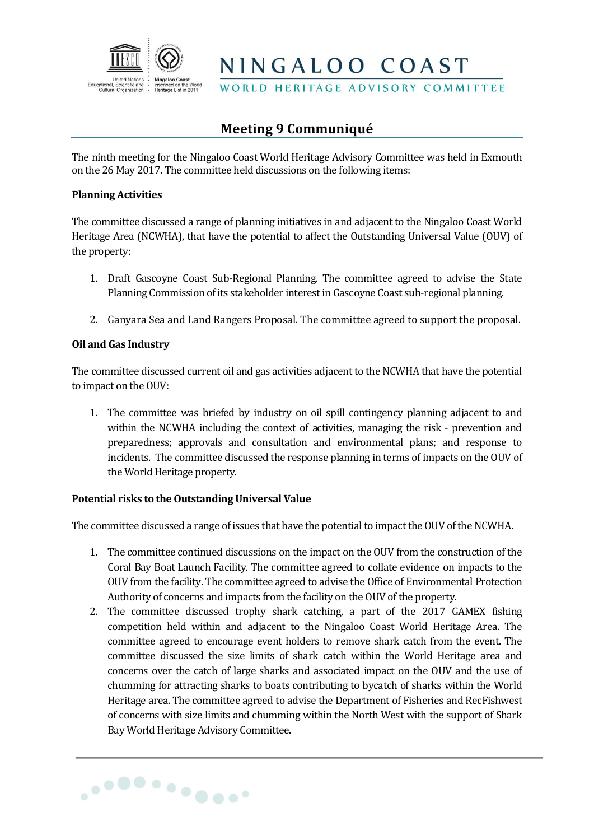

NINGALOO COAST

WORLD HERITAGE ADVISORY COMMITTEE

# **Meeting 9 Communiqué**

The ninth meeting for the Ningaloo Coast World Heritage Advisory Committee was held in Exmouth on the 26 May 2017. The committee held discussions on the following items:

### **Planning Activities**

The committee discussed a range of planning initiatives in and adjacent to the Ningaloo Coast World Heritage Area (NCWHA), that have the potential to affect the Outstanding Universal Value (OUV) of the property:

- 1. Draft Gascoyne Coast Sub-Regional Planning. The committee agreed to advise the State Planning Commission of its stakeholder interest in Gascoyne Coast sub-regional planning.
- 2. Ganyara Sea and Land Rangers Proposal. The committee agreed to support the proposal.

## **Oil and Gas Industry**

The committee discussed current oil and gas activities adjacent to the NCWHA that have the potential to impact on the OUV:

1. The committee was briefed by industry on oil spill contingency planning adjacent to and within the NCWHA including the context of activities, managing the risk - prevention and preparedness; approvals and consultation and environmental plans; and response to incidents. The committee discussed the response planning in terms of impacts on the OUV of the World Heritage property.

## **Potential risks to the Outstanding Universal Value**

The committee discussed a range of issues that have the potential to impact the OUV of the NCWHA.

- 1. The committee continued discussions on the impact on the OUV from the construction of the Coral Bay Boat Launch Facility. The committee agreed to collate evidence on impacts to the OUV from the facility. The committee agreed to advise the Office of Environmental Protection Authority of concerns and impacts from the facility on the OUV of the property.
- 2. The committee discussed trophy shark catching, a part of the 2017 GAMEX fishing competition held within and adjacent to the Ningaloo Coast World Heritage Area. The committee agreed to encourage event holders to remove shark catch from the event. The committee discussed the size limits of shark catch within the World Heritage area and concerns over the catch of large sharks and associated impact on the OUV and the use of chumming for attracting sharks to boats contributing to bycatch of sharks within the World Heritage area. The committee agreed to advise the Department of Fisheries and RecFishwest of concerns with size limits and chumming within the North West with the support of Shark Bay World Heritage Advisory Committee.

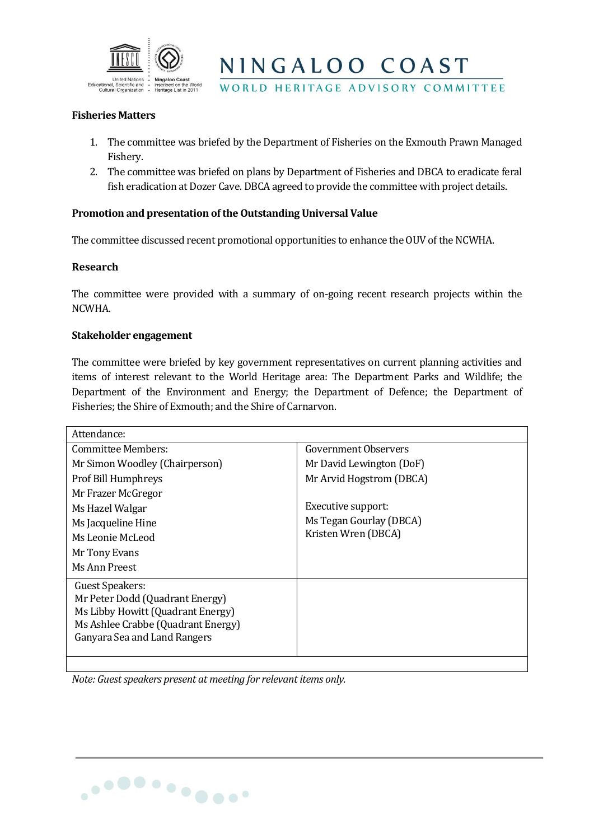

NINGALOO COAST

## WORLD HERITAGE ADVISORY COMMITTEE

#### **Fisheries Matters**

- 1. The committee was briefed by the Department of Fisheries on the Exmouth Prawn Managed Fishery.
- 2. The committee was briefed on plans by Department of Fisheries and DBCA to eradicate feral fish eradication at Dozer Cave. DBCA agreed to provide the committee with project details.

## **Promotion and presentation of the Outstanding Universal Value**

The committee discussed recent promotional opportunities to enhance the OUV of the NCWHA.

#### **Research**

The committee were provided with a summary of on-going recent research projects within the NCWHA.

#### **Stakeholder engagement**

The committee were briefed by key government representatives on current planning activities and items of interest relevant to the World Heritage area: The Department Parks and Wildlife; the Department of the Environment and Energy; the Department of Defence; the Department of Fisheries; the Shire of Exmouth; and the Shire of Carnarvon.

| Attendance:                        |                          |
|------------------------------------|--------------------------|
| Committee Members:                 | Government Observers     |
| Mr Simon Woodley (Chairperson)     | Mr David Lewington (DoF) |
| Prof Bill Humphreys                | Mr Arvid Hogstrom (DBCA) |
| Mr Frazer McGregor                 |                          |
| Ms Hazel Walgar                    | Executive support:       |
| Ms Jacqueline Hine                 | Ms Tegan Gourlay (DBCA)  |
| Ms Leonie McLeod                   | Kristen Wren (DBCA)      |
| Mr Tony Evans                      |                          |
| Ms Ann Preest                      |                          |
| Guest Speakers:                    |                          |
| Mr Peter Dodd (Quadrant Energy)    |                          |
| Ms Libby Howitt (Quadrant Energy)  |                          |
| Ms Ashlee Crabbe (Quadrant Energy) |                          |
| Ganyara Sea and Land Rangers       |                          |
|                                    |                          |

*Note: Guest speakers present at meeting for relevant items only.*